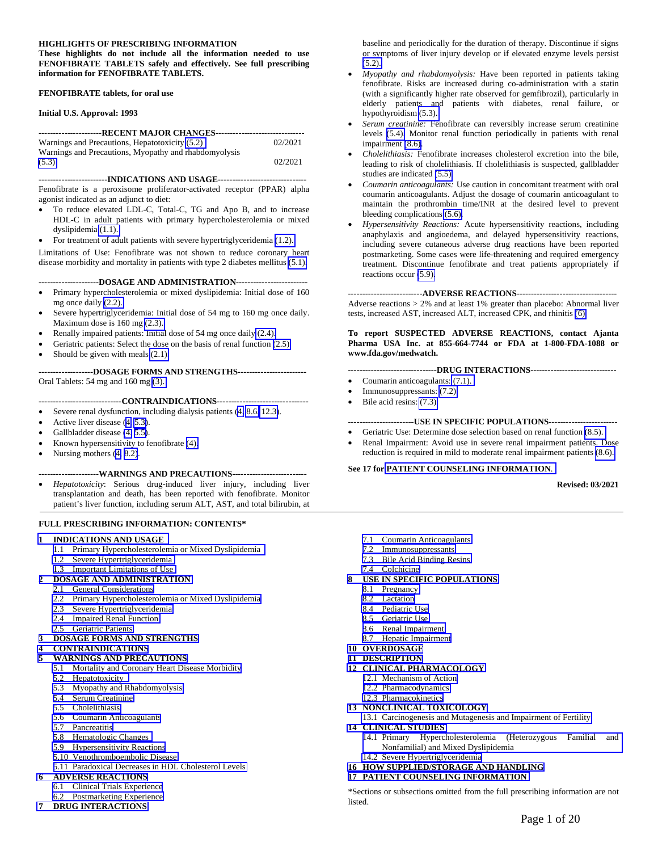#### **HIGHLIGHTS OF PRESCRIBING INFORMATION**

**These highlights do not include all the information needed to use FENOFIBRATE TABLETS safely and effectively. See full prescribing information for FENOFIBRATE TABLETS.** 

#### **FENOFIBRATE tablets, for oral use**

#### **Initial U.S. Approval: 1993**

| -----------------------RECENT MAJOR CHANGES------------------------------- |         |  |  |  |  |
|----------------------------------------------------------------------------|---------|--|--|--|--|
| Warnings and Precautions, Hepatotoxicity (5.2)                             | 02/2021 |  |  |  |  |
| Warnings and Precautions, Myopathy and rhabdomyolysis                      |         |  |  |  |  |
|                                                                            |         |  |  |  |  |
| (5.3)                                                                      | 02/2021 |  |  |  |  |

#### **------------------------INDICATIONS AND USAGE-------------------------------**

Fenofibrate is a peroxisome proliferator-activated receptor (PPAR) alpha agonist indicated as an adjunct to diet:

- To reduce elevated LDL-C, Total-C, TG and Apo B, and to increase HDL-C in adult patients with primary hypercholesterolemia or mixed dyslipidemia [\(1.1\).](#page-1-0)
- For treatment of adult patients with severe hypertriglyceridemia [\(1.2\).](#page-1-0)

Limitations of Use: Fenofibrate was not shown to reduce coronary heart disease morbidity and mortality in patients with type 2 diabetes mellitus [\(5.1\).](#page-3-0)

**---------------------DOSAGE AND ADMINISTRATION-------------------------** 

- Primary hypercholesterolemia or mixed dyslipidemia: Initial dose of 160 mg once daily [\(2.2\).](#page-2-0)
- Severe hypertriglyceridemia: Initial dose of 54 mg to 160 mg once daily. Maximum dose is 160 mg [\(2.3\).](#page-2-0)
- Renally impaired patients: Initial dose of 54 mg once daily [\(2.4\).](#page-2-0)
- Geriatric patients: Select the dose on the basis of renal function [\(2.5\).](#page-2-0)
- Should be given with meals [\(2.1\).](#page-1-1)

#### **-------------------DOSAGE FORMS AND STRENGTHS------------------------**  Oral Tablets: 54 mg and 160 mg [\(3\).](#page-2-1)

#### **-----------------------------CONTRAINDICATIONS--------------------------------**

- Severe renal dysfunction, including dialysis patients [\(4,](#page-2-1) [8.6,](#page-10-0) [12.3\)](#page-12-0).
- Active liver disease [\(4,](#page-2-2) [5.3\)](#page-4-0).
- Gallbladder disease [\(4,](#page-2-1) [5.5\)](#page-5-0).
- Known hypersensitivity to fenofibrate [\(4\).](#page-2-1)
- Nursing mothers ([4,](#page-2-1) [8.2\)](#page-10-1).

#### **---------------------WARNINGS AND PRECAUTIONS--------------------------**

 *Hepatotoxicity*: Serious drug-induced liver injury, including liver transplantation and death, has been reported with fenofibrate. Monitor patient's liver function, including serum ALT, AST, and total bilirubin, at

#### **FULL PRESCRIBING INFORMATION: CONTENTS\***

#### **1 [INDICATIONS AND USAGE](#page-1-2)**

- 1.1 [Primary Hypercholesterolemia or Mixed Dyslipidemia](#page-1-2)
- 1.2 [Severe Hypertriglyceridemia](#page-1-3)
- 1.3 [Important Limitations of Use](#page-1-3)

#### **2 [DOSAGE AND ADMINISTRATION](#page-1-3)**

- 2.1 [General Considerations](#page-1-3)
- 2.2 [Primary Hypercholesterolemia or Mixed Dyslipidemia](#page-2-3)
- 2.3 [Severe Hypertriglyceridemia](#page-2-3)
- 2.4 [Impaired Renal Function](#page-2-3)
- 2.5 [Geriatric Patients](#page-2-3)
- **3 [DOSAGE FORMS AND STRENGTHS](#page-2-3)**
- **4 [CONTRAINDICATIONS](#page-2-3)**

#### **5 [WARNINGS AND PRECAUTIONS](#page-2-0)**

- 5.1 [Mortality and Coronary Heart Disease Morbidity](#page-3-1)
- 5.2 [Hepatotoxicity](#page-4-2)
- 5.3 [Myopathy and Rhabdomyolysis](#page-4-2)
- 5.4 [Serum Creatinine](#page-5-3)
- 5.5 [Cholelithiasis](#page-5-3)
- 5.6 [Coumarin Anticoagulants](#page-5-3)
- 5.7 [Pancreatitis](#page-5-3)
- 5.8 [Hematologic Changes](#page-5-3)
- 5.9 [Hypersensitivity Reactions](#page-6-1)
- 5.10 [Venothromboembolic Disease](#page-6-1)
- 5.11 [Paradoxical Decreases in HDL Cholesterol Levels](#page-6-1)
- **6 [ADVERSE REACTIONS](#page-7-0)**
- 6.1 [Clinical Trials Experience](#page-7-1)
- 6.2 [Postmarketing Experience](#page-8-1)
- **7 [DRUG INTERACTIONS](#page-8-2)**

baseline and periodically for the duration of therapy. Discontinue if signs or symptoms of liver injury develop or if elevated enzyme levels persist [\(5.2\).](#page-4-1) 

- *Myopathy and rhabdomyolysis:* Have been reported in patients taking fenofibrate. Risks are increased during co-administration with a statin (with a significantly higher rate observed for gemfibrozil), particularly in elderly patients and patients with diabetes, renal failure, or hypothyroidism [\(5.3\).](#page-4-1)
- *Serum creatinine:* Fenofibrate can reversibly increase serum creatinine levels [\(5.4\).](#page-5-1) Monitor renal function periodically in patients with renal impairment [\(8.6\).](#page-10-2)
- *Cholelithiasis:* Fenofibrate increases cholesterol excretion into the bile, leading to risk of cholelithiasis. If cholelithiasis is suspected, gallbladder studies are indicated [\(5.5\).](#page-5-2)
- *Coumarin anticoagulants:* Use caution in concomitant treatment with oral coumarin anticoagulants. Adjust the dosage of coumarin anticoagulant to maintain the prothrombin time/INR at the desired level to prevent bleeding complications [\(5.6\).](#page-5-2)
- *Hypersensitivity Reactions:* Acute hypersensitivity reactions, including anaphylaxis and angioedema, and delayed hypersensitivity reactions, including severe cutaneous adverse drug reactions have been reported postmarketing. Some cases were life-threatening and required emergency treatment. Discontinue fenofibrate and treat patients appropriately if reactions occur [\(5.9\).](#page-6-0)

#### --------------------------**ADVERSE REACTIONS**-----------------------------------

Adverse reactions > 2% and at least 1% greater than placebo: Abnormal liver tests, increased AST, increased ALT, increased CPK, and rhinitis [\(6\).](#page-7-0)

**To report SUSPECTED ADVERSE REACTIONS, contact Ajanta Pharma USA Inc. at 855-664-7744 or FDA at 1-800-FDA-1088 or www.fda.gov/medwatch.** 

#### -------------------------------**DRUG INTERACTIONS**------------------------------

- Coumarin anticoagulants: [\(7.1\).](#page-8-0)
- Immunosuppressants: [\(7.2\).](#page-8-0)
- $\bullet$  Bile acid resins: [\(7.3\).](#page-8-0)

#### -----------------------**USE IN SPECIFIC POPULATIONS**------------------------

- Geriatric Use: Determine dose selection based on renal function [\(8.5\).](#page-10-3)
- Renal Impairment: Avoid use in severe renal impairment patients. Dose reduction is required in mild to moderate renal impairment patients [\(8.6\).](#page-10-3)

#### **See 17 for [PATIENT COUNSELING INFORMATION](#page-19-0)**.

#### **Revised: 03/2021**

- 7.1 [Coumarin Anticoagulants](#page-8-2)
- 7.2 [Immunosuppressants](#page-8-2)
- 7.3 [Bile Acid Binding Resins](#page-8-2)
- 7.4 [Colchicine](#page-9-0)
- **8 [USE IN SPECIFIC POPULATIONS](#page-8-2)**
	- 8.1 [Pregnancy](#page-8-2)
	- 8.2 [Lactation](#page-9-1)
	- 8.4 [Pediatric Use](#page-10-4)
	- 8.5 [Geriatric Use](#page-10-4)
	- 8.6 [Renal Impairment](#page-10-4)
	- 8.7 [Hepatic Impairment](#page-10-4)
- **10 [OVERDOSAGE](#page-10-4)**
- **11 [DESCRIPTION](#page-10-4)**
- **12 [CLINICAL PHARMACOLOGY](#page-11-0)**  12.1 [Mechanism of Action](#page-11-0) 
	- 12.2 [Pharmacodynamics](#page-12-1)
	- 12.3 [Pharmacokinetics](#page-12-1)
- **13 [NONCLINICAL TOXICOLOGY](#page-15-0)**
- 13.1 [Carcinogenesis and Mutagenesis and Impairment of Fertility](#page-15-1)
- **14 [CLINICAL STUDIES](#page-16-0)** 
	- 14.1 [Primary Hypercholesterolemia \(Heterozygous Familial and](#page-16-0)  Nonfamilial) and Mixed Dyslipidemia
	- 14.2 [Severe Hypertriglyceridemia](#page-17-0)
- **16 [HOW SUPPLIED/STORAGE AND HANDLING](#page-18-0)**
- **17 [PATIENT COUNSELING INFORMATION](#page-19-1)**

\*Sections or subsections omitted from the full prescribing information are not listed.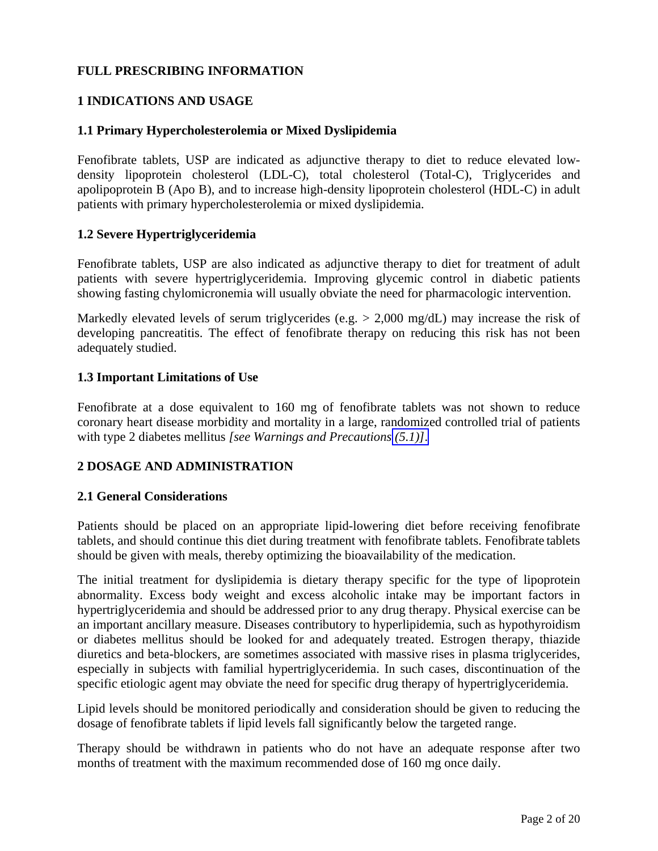## <span id="page-1-3"></span><span id="page-1-2"></span><span id="page-1-1"></span><span id="page-1-0"></span>**FULL PRESCRIBING INFORMATION**

## **1 INDICATIONS AND USAGE**

## **1.1 Primary Hypercholesterolemia or Mixed Dyslipidemia**

Fenofibrate tablets, USP are indicated as adjunctive therapy to diet to reduce elevated lowdensity lipoprotein cholesterol (LDL-C), total cholesterol (Total-C), Triglycerides and apolipoprotein B (Apo B), and to increase high-density lipoprotein cholesterol (HDL-C) in adult patients with primary hypercholesterolemia or mixed dyslipidemia.

## **1.2 Severe Hypertriglyceridemia**

Fenofibrate tablets, USP are also indicated as adjunctive therapy to diet for treatment of adult patients with severe hypertriglyceridemia. Improving glycemic control in diabetic patients showing fasting chylomicronemia will usually obviate the need for pharmacologic intervention.

Markedly elevated levels of serum triglycerides (e.g. > 2,000 mg/dL) may increase the risk of developing pancreatitis. The effect of fenofibrate therapy on reducing this risk has not been adequately studied.

## **1.3 Important Limitations of Use**

Fenofibrate at a dose equivalent to 160 mg of fenofibrate tablets was not shown to reduce coronary heart disease morbidity and mortality in a large, randomized controlled trial of patients with type 2 diabetes mellitus *[see Warnings and Precautions [\(5.1\)\]](#page-3-2)*.

## **2 DOSAGE AND ADMINISTRATION**

### **2.1 General Considerations**

Patients should be placed on an appropriate lipid-lowering diet before receiving fenofibrate tablets, and should continue this diet during treatment with fenofibrate tablets. Fenofibrate tablets should be given with meals, thereby optimizing the bioavailability of the medication.

The initial treatment for dyslipidemia is dietary therapy specific for the type of lipoprotein abnormality. Excess body weight and excess alcoholic intake may be important factors in hypertriglyceridemia and should be addressed prior to any drug therapy. Physical exercise can be an important ancillary measure. Diseases contributory to hyperlipidemia, such as hypothyroidism or diabetes mellitus should be looked for and adequately treated. Estrogen therapy, thiazide diuretics and beta-blockers, are sometimes associated with massive rises in plasma triglycerides, especially in subjects with familial hypertriglyceridemia. In such cases, discontinuation of the specific etiologic agent may obviate the need for specific drug therapy of hypertriglyceridemia.

Lipid levels should be monitored periodically and consideration should be given to reducing the dosage of fenofibrate tablets if lipid levels fall significantly below the targeted range.

Therapy should be withdrawn in patients who do not have an adequate response after two months of treatment with the maximum recommended dose of 160 mg once daily.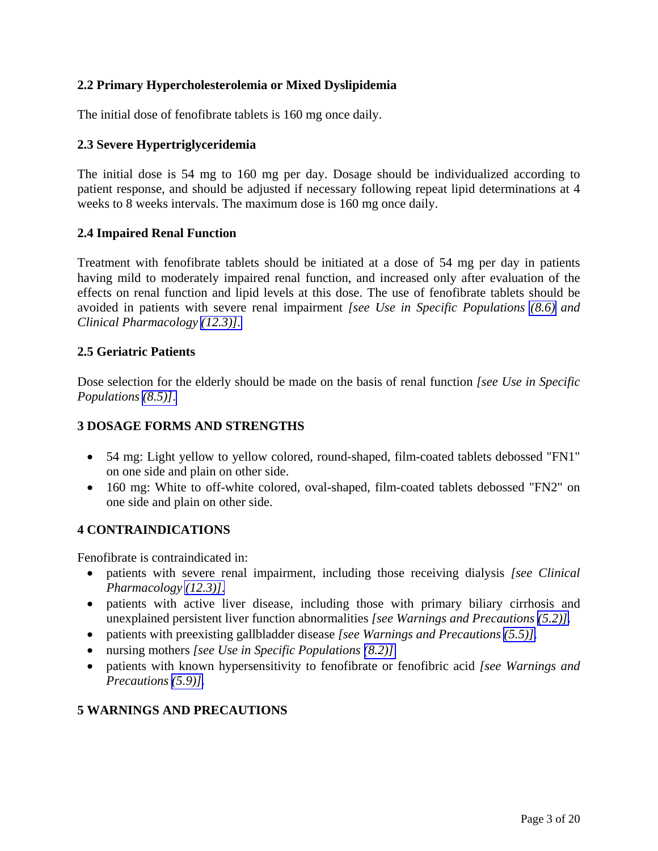## <span id="page-2-5"></span><span id="page-2-4"></span><span id="page-2-3"></span><span id="page-2-2"></span><span id="page-2-1"></span><span id="page-2-0"></span>**2.2 Primary Hypercholesterolemia or Mixed Dyslipidemia**

The initial dose of fenofibrate tablets is 160 mg once daily.

## **2.3 Severe Hypertriglyceridemia**

The initial dose is 54 mg to 160 mg per day. Dosage should be individualized according to patient response, and should be adjusted if necessary following repeat lipid determinations at 4 weeks to 8 weeks intervals. The maximum dose is 160 mg once daily.

## **2.4 Impaired Renal Function**

Treatment with fenofibrate tablets should be initiated at a dose of 54 mg per day in patients having mild to moderately impaired renal function, and increased only after evaluation of the effects on renal function and lipid levels at this dose. The use of fenofibrate tablets should be avoided in patients with severe renal impairment *[see Use in Specific Populations [\(8.6\)](#page-10-1) and Clinical Pharmacology [\(12.3\)\].](#page-12-2)* 

## **2.5 Geriatric Patients**

Dose selection for the elderly should be made on the basis of renal function *[see Use in Specific Populations [\(8.5\)\]](#page-10-1)*.

## **3 DOSAGE FORMS AND STRENGTHS**

- 54 mg: Light yellow to yellow colored, round-shaped, film-coated tablets debossed "FN1" on one side and plain on other side.
- 160 mg: White to off-white colored, oval-shaped, film-coated tablets debossed "FN2" on one side and plain on other side.

### **4 CONTRAINDICATIONS**

Fenofibrate is contraindicated in:

- patients with severe renal impairment, including those receiving dialysis *[see Clinical Pharmacology [\(12.3\)\]](#page-12-2)*.
- patients with active liver disease, including those with primary biliary cirrhosis and unexplained persistent liver function abnormalities *[see Warnings and Precautions [\(5.2\)\]](#page-4-4)*.
- patients with preexisting gallbladder disease *[see Warnings and Precautions [\(5.5\)\]](#page-5-4)*.
- nursing mothers *[see Use in Specific Populations [\(8.2\)\]](#page-10-1)*
- patients with known hypersensitivity to fenofibrate or fenofibric acid *[see Warnings and Precautions [\(5.9\)\]](#page-6-2)*.

## **5 WARNINGS AND PRECAUTIONS**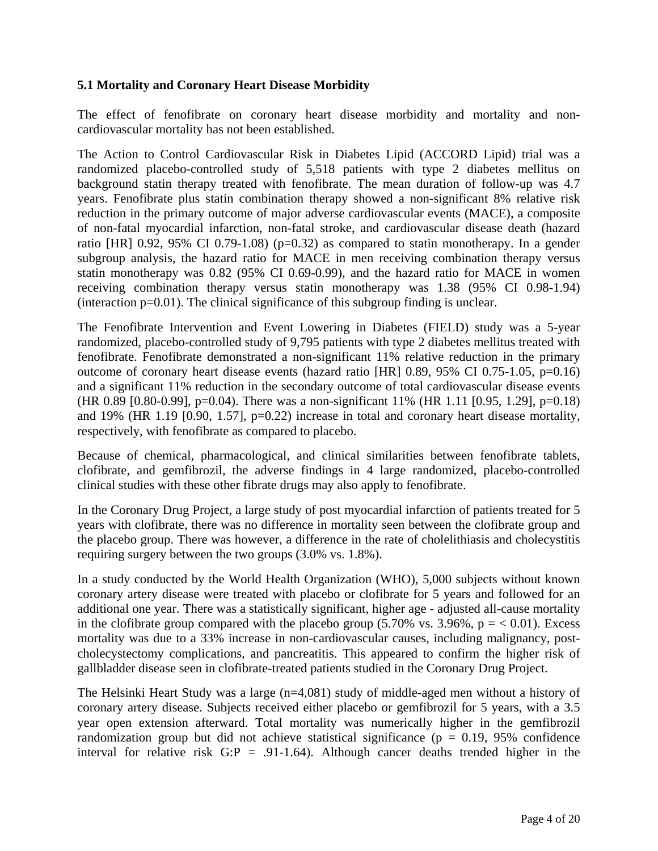## <span id="page-3-2"></span><span id="page-3-1"></span><span id="page-3-0"></span>**5.1 Mortality and Coronary Heart Disease Morbidity**

The effect of fenofibrate on coronary heart disease morbidity and mortality and noncardiovascular mortality has not been established.

The Action to Control Cardiovascular Risk in Diabetes Lipid (ACCORD Lipid) trial was a randomized placebo-controlled study of 5,518 patients with type 2 diabetes mellitus on background statin therapy treated with fenofibrate. The mean duration of follow-up was 4.7 years. Fenofibrate plus statin combination therapy showed a non-significant 8% relative risk reduction in the primary outcome of major adverse cardiovascular events (MACE), a composite of non-fatal myocardial infarction, non-fatal stroke, and cardiovascular disease death (hazard ratio [HR] 0.92, 95% CI 0.79-1.08) ( $p=0.32$ ) as compared to statin monotherapy. In a gender subgroup analysis, the hazard ratio for MACE in men receiving combination therapy versus statin monotherapy was 0.82 (95% CI 0.69-0.99), and the hazard ratio for MACE in women receiving combination therapy versus statin monotherapy was 1.38 (95% CI 0.98-1.94)  $(interaction p=0.01)$ . The clinical significance of this subgroup finding is unclear.

The Fenofibrate Intervention and Event Lowering in Diabetes (FIELD) study was a 5-year randomized, placebo-controlled study of 9,795 patients with type 2 diabetes mellitus treated with fenofibrate. Fenofibrate demonstrated a non-significant 11% relative reduction in the primary outcome of coronary heart disease events (hazard ratio [HR] 0.89, 95% CI 0.75-1.05, p=0.16) and a significant 11% reduction in the secondary outcome of total cardiovascular disease events (HR 0.89 [0.80-0.99], p=0.04). There was a non-significant 11% (HR 1.11 [0.95, 1.29], p=0.18) and 19% (HR 1.19 [0.90, 1.57], p=0.22) increase in total and coronary heart disease mortality, respectively, with fenofibrate as compared to placebo.

Because of chemical, pharmacological, and clinical similarities between fenofibrate tablets, clofibrate, and gemfibrozil, the adverse findings in 4 large randomized, placebo-controlled clinical studies with these other fibrate drugs may also apply to fenofibrate.

In the Coronary Drug Project, a large study of post myocardial infarction of patients treated for 5 years with clofibrate, there was no difference in mortality seen between the clofibrate group and the placebo group. There was however, a difference in the rate of cholelithiasis and cholecystitis requiring surgery between the two groups (3.0% vs. 1.8%).

In a study conducted by the World Health Organization (WHO), 5,000 subjects without known coronary artery disease were treated with placebo or clofibrate for 5 years and followed for an additional one year. There was a statistically significant, higher age - adjusted all-cause mortality in the clofibrate group compared with the placebo group  $(5.70\% \text{ vs. } 3.96\%, \text{ p} = < 0.01)$ . Excess mortality was due to a 33% increase in non-cardiovascular causes, including malignancy, postcholecystectomy complications, and pancreatitis. This appeared to confirm the higher risk of gallbladder disease seen in clofibrate-treated patients studied in the Coronary Drug Project.

The Helsinki Heart Study was a large (n=4,081) study of middle-aged men without a history of coronary artery disease. Subjects received either placebo or gemfibrozil for 5 years, with a 3.5 year open extension afterward. Total mortality was numerically higher in the gemfibrozil randomization group but did not achieve statistical significance ( $p = 0.19$ , 95% confidence interval for relative risk  $G: P = .91-1.64$ . Although cancer deaths trended higher in the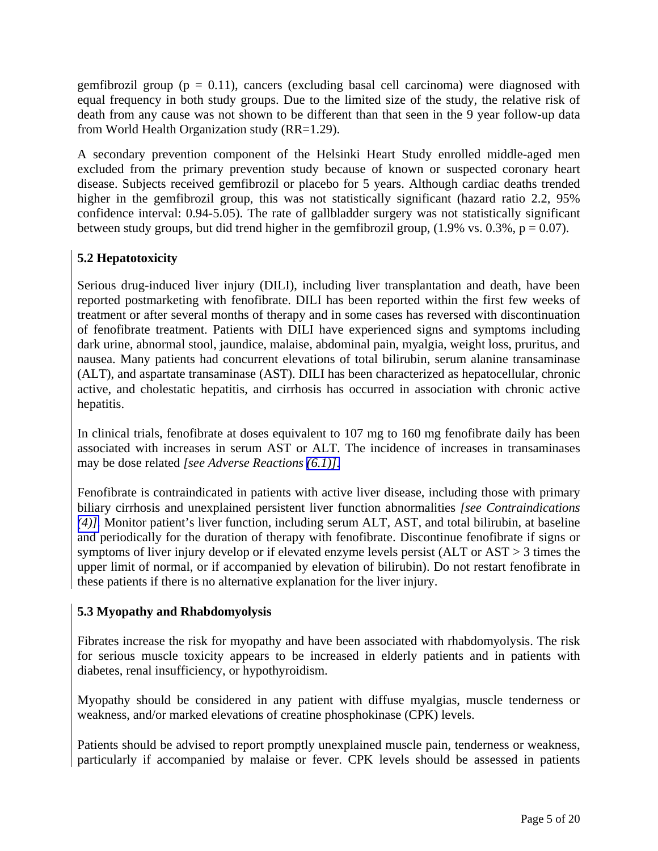<span id="page-4-5"></span><span id="page-4-4"></span><span id="page-4-3"></span><span id="page-4-2"></span><span id="page-4-1"></span><span id="page-4-0"></span>gemfibrozil group ( $p = 0.11$ ), cancers (excluding basal cell carcinoma) were diagnosed with equal frequency in both study groups. Due to the limited size of the study, the relative risk of death from any cause was not shown to be different than that seen in the 9 year follow-up data from World Health Organization study (RR=1.29).

A secondary prevention component of the Helsinki Heart Study enrolled middle-aged men excluded from the primary prevention study because of known or suspected coronary heart disease. Subjects received gemfibrozil or placebo for 5 years. Although cardiac deaths trended higher in the gemfibrozil group, this was not statistically significant (hazard ratio 2.2, 95% confidence interval: 0.94-5.05). The rate of gallbladder surgery was not statistically significant between study groups, but did trend higher in the gemfibrozil group,  $(1.9\% \text{ vs. } 0.3\%, \text{ p} = 0.07)$ .

# **5.2 Hepatotoxicity**

Serious drug-induced liver injury (DILI), including liver transplantation and death, have been reported postmarketing with fenofibrate. DILI has been reported within the first few weeks of treatment or after several months of therapy and in some cases has reversed with discontinuation of fenofibrate treatment. Patients with DILI have experienced signs and symptoms including dark urine, abnormal stool, jaundice, malaise, abdominal pain, myalgia, weight loss, pruritus, and nausea. Many patients had concurrent elevations of total bilirubin, serum alanine transaminase (ALT), and aspartate transaminase (AST). DILI has been characterized as hepatocellular, chronic active, and cholestatic hepatitis, and cirrhosis has occurred in association with chronic active hepatitis.

In clinical trials, fenofibrate at doses equivalent to 107 mg to 160 mg fenofibrate daily has been associated with increases in serum AST or ALT. The incidence of increases in transaminases may be dose related *[see Adverse Reactions [\(6.1\)\].](#page-7-0)* 

Fenofibrate is contraindicated in patients with active liver disease, including those with primary biliary cirrhosis and unexplained persistent liver function abnormalities *[see Contraindications [\(4\)\].](#page-2-4)* Monitor patient's liver function, including serum ALT, AST, and total bilirubin, at baseline and periodically for the duration of therapy with fenofibrate. Discontinue fenofibrate if signs or symptoms of liver injury develop or if elevated enzyme levels persist (ALT or AST > 3 times the upper limit of normal, or if accompanied by elevation of bilirubin). Do not restart fenofibrate in these patients if there is no alternative explanation for the liver injury.

# **5.3 Myopathy and Rhabdomyolysis**

Fibrates increase the risk for myopathy and have been associated with rhabdomyolysis. The risk for serious muscle toxicity appears to be increased in elderly patients and in patients with diabetes, renal insufficiency, or hypothyroidism.

Myopathy should be considered in any patient with diffuse myalgias, muscle tenderness or weakness, and/or marked elevations of creatine phosphokinase (CPK) levels.

Patients should be advised to report promptly unexplained muscle pain, tenderness or weakness, particularly if accompanied by malaise or fever. CPK levels should be assessed in patients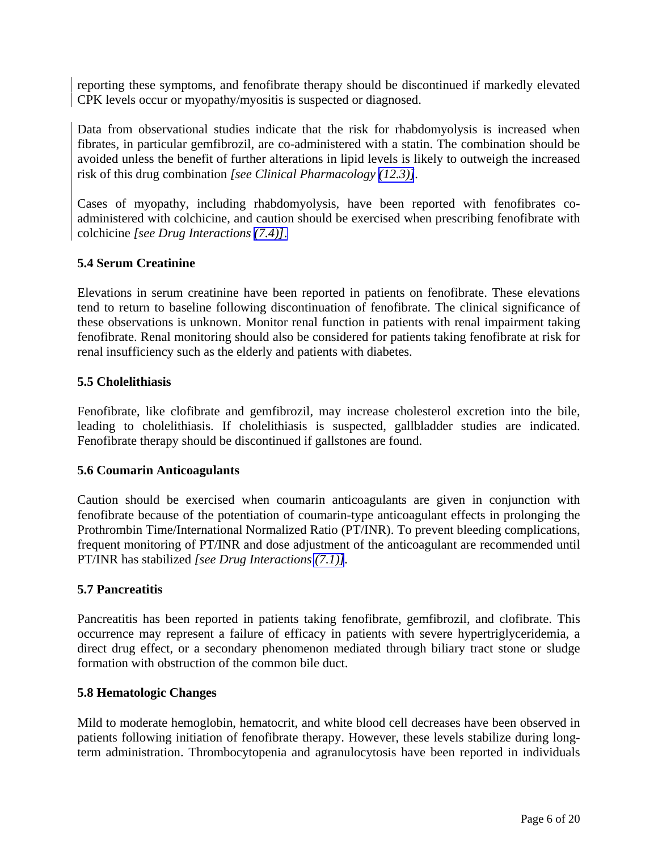<span id="page-5-5"></span><span id="page-5-4"></span><span id="page-5-3"></span><span id="page-5-2"></span><span id="page-5-1"></span><span id="page-5-0"></span>reporting these symptoms, and fenofibrate therapy should be discontinued if markedly elevated CPK levels occur or myopathy/myositis is suspected or diagnosed.

Data from observational studies indicate that the risk for rhabdomyolysis is increased when fibrates, in particular gemfibrozil, are co-administered with a statin. The combination should be avoided unless the benefit of further alterations in lipid levels is likely to outweigh the increased risk of this drug combination *[see Clinical Pharmacology [\(12.3\)\]](#page-12-2).* 

Cases of myopathy, including rhabdomyolysis, have been reported with fenofibrates coadministered with colchicine, and caution should be exercised when prescribing fenofibrate with colchicine *[see Drug Interactions [\(7.4\)\]](#page-9-2)*.

## **5.4 Serum Creatinine**

Elevations in serum creatinine have been reported in patients on fenofibrate. These elevations tend to return to baseline following discontinuation of fenofibrate. The clinical significance of these observations is unknown. Monitor renal function in patients with renal impairment taking fenofibrate. Renal monitoring should also be considered for patients taking fenofibrate at risk for renal insufficiency such as the elderly and patients with diabetes.

### **5.5 Cholelithiasis**

Fenofibrate, like clofibrate and gemfibrozil, may increase cholesterol excretion into the bile, leading to cholelithiasis. If cholelithiasis is suspected, gallbladder studies are indicated. Fenofibrate therapy should be discontinued if gallstones are found.

### **5.6 Coumarin Anticoagulants**

Caution should be exercised when coumarin anticoagulants are given in conjunction with fenofibrate because of the potentiation of coumarin-type anticoagulant effects in prolonging the Prothrombin Time/International Normalized Ratio (PT/INR). To prevent bleeding complications, frequent monitoring of PT/INR and dose adjustment of the anticoagulant are recommended until PT/INR has stabilized *[see Drug Interactions [\(7.1\)\]](#page-8-3).* 

### **5.7 Pancreatitis**

Pancreatitis has been reported in patients taking fenofibrate, gemfibrozil, and clofibrate. This occurrence may represent a failure of efficacy in patients with severe hypertriglyceridemia, a direct drug effect, or a secondary phenomenon mediated through biliary tract stone or sludge formation with obstruction of the common bile duct.

#### **5.8 Hematologic Changes**

Mild to moderate hemoglobin, hematocrit, and white blood cell decreases have been observed in patients following initiation of fenofibrate therapy. However, these levels stabilize during longterm administration. Thrombocytopenia and agranulocytosis have been reported in individuals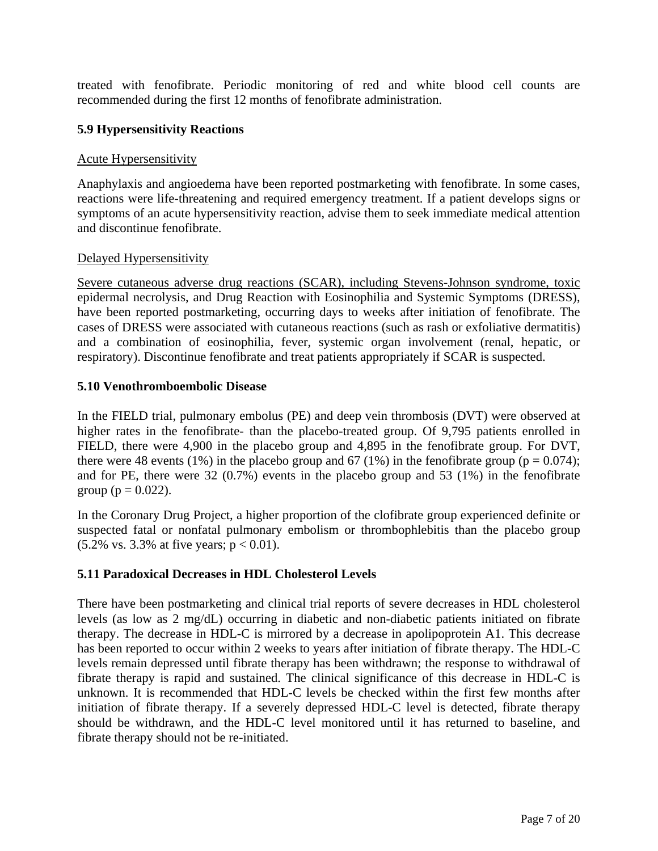<span id="page-6-3"></span><span id="page-6-2"></span><span id="page-6-1"></span><span id="page-6-0"></span>treated with fenofibrate. Periodic monitoring of red and white blood cell counts are recommended during the first 12 months of fenofibrate administration.

## **5.9 Hypersensitivity Reactions**

### Acute Hypersensitivity

Anaphylaxis and angioedema have been reported postmarketing with fenofibrate. In some cases, reactions were life-threatening and required emergency treatment. If a patient develops signs or symptoms of an acute hypersensitivity reaction, advise them to seek immediate medical attention and discontinue fenofibrate.

### Delayed Hypersensitivity

Severe cutaneous adverse drug reactions (SCAR), including Stevens-Johnson syndrome, toxic epidermal necrolysis, and Drug Reaction with Eosinophilia and Systemic Symptoms (DRESS), have been reported postmarketing, occurring days to weeks after initiation of fenofibrate. The cases of DRESS were associated with cutaneous reactions (such as rash or exfoliative dermatitis) and a combination of eosinophilia, fever, systemic organ involvement (renal, hepatic, or respiratory). Discontinue fenofibrate and treat patients appropriately if SCAR is suspected.

## **5.10 Venothromboembolic Disease**

In the FIELD trial, pulmonary embolus (PE) and deep vein thrombosis (DVT) were observed at higher rates in the fenofibrate- than the placebo-treated group. Of 9,795 patients enrolled in FIELD, there were 4,900 in the placebo group and 4,895 in the fenofibrate group. For DVT, there were 48 events (1%) in the placebo group and 67 (1%) in the fenofibrate group ( $p = 0.074$ ); and for PE, there were 32 (0.7%) events in the placebo group and 53 (1%) in the fenofibrate group ( $p = 0.022$ ).

In the Coronary Drug Project, a higher proportion of the clofibrate group experienced definite or suspected fatal or nonfatal pulmonary embolism or thrombophlebitis than the placebo group  $(5.2\% \text{ vs. } 3.3\% \text{ at five years}; p < 0.01).$ 

### **5.11 Paradoxical Decreases in HDL Cholesterol Levels**

There have been postmarketing and clinical trial reports of severe decreases in HDL cholesterol levels (as low as 2 mg/dL) occurring in diabetic and non-diabetic patients initiated on fibrate therapy. The decrease in HDL-C is mirrored by a decrease in apolipoprotein A1. This decrease has been reported to occur within 2 weeks to years after initiation of fibrate therapy. The HDL-C levels remain depressed until fibrate therapy has been withdrawn; the response to withdrawal of fibrate therapy is rapid and sustained. The clinical significance of this decrease in HDL-C is unknown. It is recommended that HDL-C levels be checked within the first few months after initiation of fibrate therapy. If a severely depressed HDL-C level is detected, fibrate therapy should be withdrawn, and the HDL-C level monitored until it has returned to baseline, and fibrate therapy should not be re-initiated.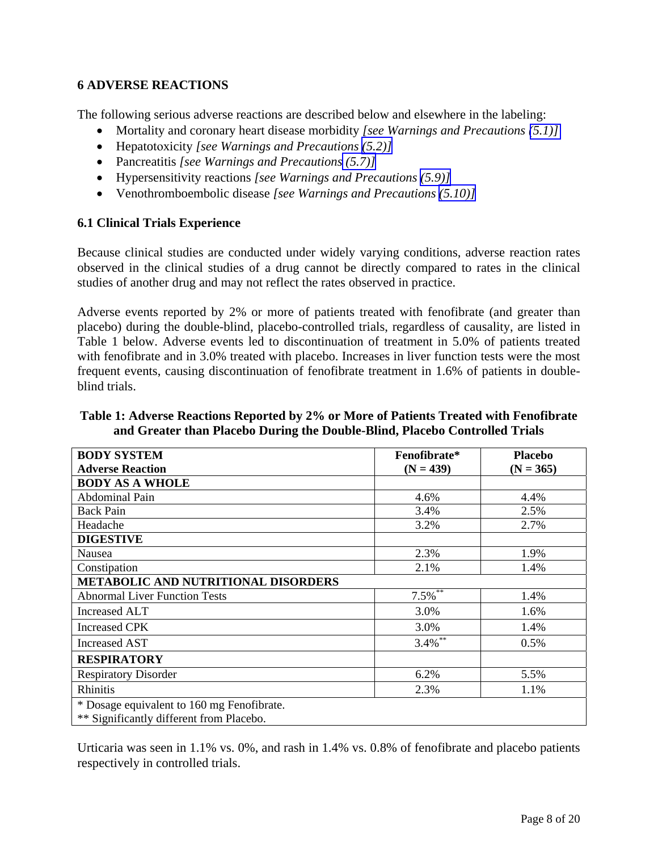## <span id="page-7-0"></span>**6 ADVERSE REACTIONS**

The following serious adverse reactions are described below and elsewhere in the labeling:

- <span id="page-7-1"></span>• Mortality and coronary heart disease morbidity *[see Warnings and Precautions [\(5.1\)\]](#page-3-0)*
- Hepatotoxicity *[see Warnings and Precautions [\(5.2\)\]](#page-4-5)*
- Pancreatitis *[see Warnings and Precautions [\(5.7\)\]](#page-5-5)*
- Hypersensitivity reactions *[see Warnings and Precautions [\(5.9\)\]](#page-6-3)*
- Venothromboembolic disease *[see Warnings and Precautions [\(5.10\)\]](#page-6-3)*

## **6.1 Clinical Trials Experience**

Because clinical studies are conducted under widely varying conditions, adverse reaction rates observed in the clinical studies of a drug cannot be directly compared to rates in the clinical studies of another drug and may not reflect the rates observed in practice.

Adverse events reported by 2% or more of patients treated with fenofibrate (and greater than placebo) during the double-blind, placebo-controlled trials, regardless of causality, are listed in Table 1 below. Adverse events led to discontinuation of treatment in 5.0% of patients treated with fenofibrate and in 3.0% treated with placebo. Increases in liver function tests were the most frequent events, causing discontinuation of fenofibrate treatment in 1.6% of patients in doubleblind trials.

| <b>BODY SYSTEM</b>                         | Fenofibrate*                | <b>Placebo</b> |  |  |  |
|--------------------------------------------|-----------------------------|----------------|--|--|--|
| <b>Adverse Reaction</b>                    | $(N = 439)$                 | $(N = 365)$    |  |  |  |
| <b>BODY AS A WHOLE</b>                     |                             |                |  |  |  |
| <b>Abdominal Pain</b>                      | 4.6%                        | 4.4%           |  |  |  |
| <b>Back Pain</b>                           | 3.4%                        | 2.5%           |  |  |  |
| Headache                                   | 3.2%                        | 2.7%           |  |  |  |
| <b>DIGESTIVE</b>                           |                             |                |  |  |  |
| Nausea                                     | 2.3%                        | 1.9%           |  |  |  |
| Constipation                               | 2.1%                        | 1.4%           |  |  |  |
| <b>METABOLIC AND NUTRITIONAL DISORDERS</b> |                             |                |  |  |  |
| <b>Abnormal Liver Function Tests</b>       | $7.5\overline{\frac{9}{6}}$ | 1.4%           |  |  |  |
| Increased ALT                              | 3.0%                        | 1.6%           |  |  |  |
| <b>Increased CPK</b>                       | 3.0%                        | 1.4%           |  |  |  |
| <b>Increased AST</b>                       | $3.4\%$ **                  | 0.5%           |  |  |  |
| <b>RESPIRATORY</b>                         |                             |                |  |  |  |
| <b>Respiratory Disorder</b>                | 6.2%                        | 5.5%           |  |  |  |
| Rhinitis                                   | 2.3%                        | 1.1%           |  |  |  |
| * Dosage equivalent to 160 mg Fenofibrate. |                             |                |  |  |  |
| ** Significantly different from Placebo.   |                             |                |  |  |  |

**Table 1: Adverse Reactions Reported by 2% or More of Patients Treated with Fenofibrate and Greater than Placebo During the Double-Blind, Placebo Controlled Trials** 

Urticaria was seen in 1.1% vs. 0%, and rash in 1.4% vs. 0.8% of fenofibrate and placebo patients respectively in controlled trials.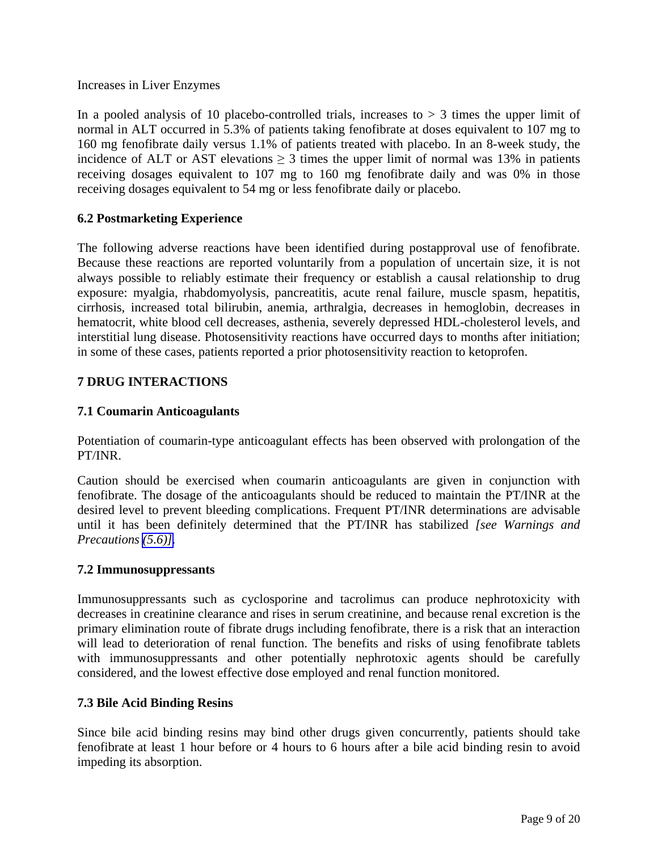<span id="page-8-3"></span><span id="page-8-2"></span><span id="page-8-1"></span><span id="page-8-0"></span>Increases in Liver Enzymes

In a pooled analysis of 10 placebo-controlled trials, increases to  $> 3$  times the upper limit of normal in ALT occurred in 5.3% of patients taking fenofibrate at doses equivalent to 107 mg to 160 mg fenofibrate daily versus 1.1% of patients treated with placebo. In an 8-week study, the incidence of ALT or AST elevations  $\geq 3$  times the upper limit of normal was 13% in patients receiving dosages equivalent to 107 mg to 160 mg fenofibrate daily and was 0% in those receiving dosages equivalent to 54 mg or less fenofibrate daily or placebo.

## **6.2 Postmarketing Experience**

The following adverse reactions have been identified during postapproval use of fenofibrate. Because these reactions are reported voluntarily from a population of uncertain size, it is not always possible to reliably estimate their frequency or establish a causal relationship to drug exposure: myalgia, rhabdomyolysis, pancreatitis, acute renal failure, muscle spasm, hepatitis, cirrhosis, increased total bilirubin, anemia, arthralgia, decreases in hemoglobin, decreases in hematocrit, white blood cell decreases, asthenia, severely depressed HDL-cholesterol levels, and interstitial lung disease. Photosensitivity reactions have occurred days to months after initiation; in some of these cases, patients reported a prior photosensitivity reaction to ketoprofen.

## **7 DRUG INTERACTIONS**

## **7.1 Coumarin Anticoagulants**

Potentiation of coumarin-type anticoagulant effects has been observed with prolongation of the PT/INR.

Caution should be exercised when coumarin anticoagulants are given in conjunction with fenofibrate. The dosage of the anticoagulants should be reduced to maintain the PT/INR at the desired level to prevent bleeding complications. Frequent PT/INR determinations are advisable until it has been definitely determined that the PT/INR has stabilized *[see Warnings and Precautions [\(5.6\)\].](#page-5-4)* 

### **7.2 Immunosuppressants**

Immunosuppressants such as cyclosporine and tacrolimus can produce nephrotoxicity with decreases in creatinine clearance and rises in serum creatinine, and because renal excretion is the primary elimination route of fibrate drugs including fenofibrate, there is a risk that an interaction will lead to deterioration of renal function. The benefits and risks of using fenofibrate tablets with immunosuppressants and other potentially nephrotoxic agents should be carefully considered, and the lowest effective dose employed and renal function monitored.

### **7.3 Bile Acid Binding Resins**

Since bile acid binding resins may bind other drugs given concurrently, patients should take fenofibrate at least 1 hour before or 4 hours to 6 hours after a bile acid binding resin to avoid impeding its absorption.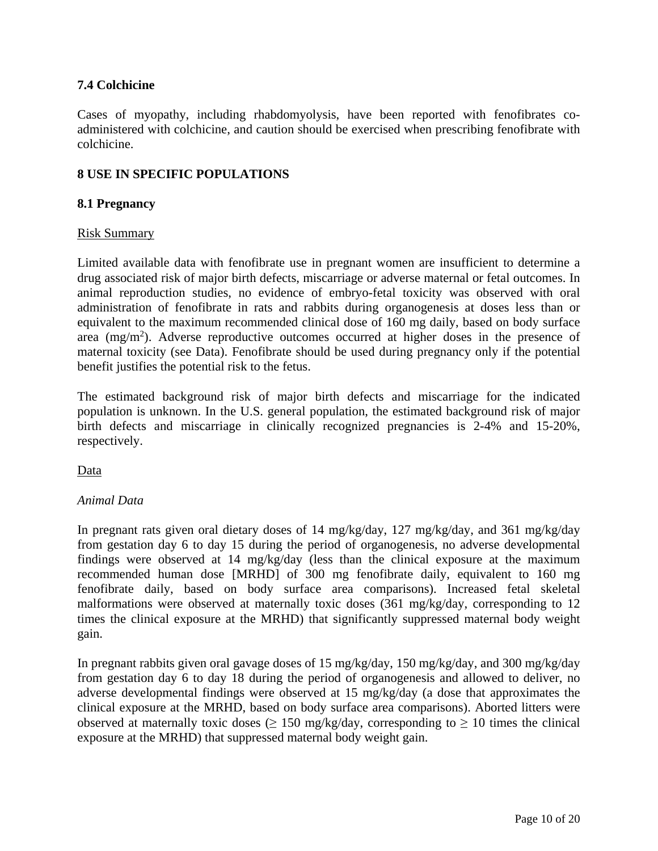## <span id="page-9-2"></span><span id="page-9-1"></span><span id="page-9-0"></span>**7.4 Colchicine**

Cases of myopathy, including rhabdomyolysis, have been reported with fenofibrates coadministered with colchicine, and caution should be exercised when prescribing fenofibrate with colchicine.

## **8 USE IN SPECIFIC POPULATIONS**

## **8.1 Pregnancy**

### Risk Summary

Limited available data with fenofibrate use in pregnant women are insufficient to determine a drug associated risk of major birth defects, miscarriage or adverse maternal or fetal outcomes. In animal reproduction studies, no evidence of embryo-fetal toxicity was observed with oral administration of fenofibrate in rats and rabbits during organogenesis at doses less than or equivalent to the maximum recommended clinical dose of 160 mg daily, based on body surface area  $(mg/m<sup>2</sup>)$ . Adverse reproductive outcomes occurred at higher doses in the presence of maternal toxicity (see Data). Fenofibrate should be used during pregnancy only if the potential benefit justifies the potential risk to the fetus.

The estimated background risk of major birth defects and miscarriage for the indicated population is unknown. In the U.S. general population, the estimated background risk of major birth defects and miscarriage in clinically recognized pregnancies is 2-4% and 15-20%, respectively.

Data

### *Animal Data*

In pregnant rats given oral dietary doses of 14 mg/kg/day, 127 mg/kg/day, and 361 mg/kg/day from gestation day 6 to day 15 during the period of organogenesis, no adverse developmental findings were observed at 14 mg/kg/day (less than the clinical exposure at the maximum recommended human dose [MRHD] of 300 mg fenofibrate daily, equivalent to 160 mg fenofibrate daily, based on body surface area comparisons). Increased fetal skeletal malformations were observed at maternally toxic doses (361 mg/kg/day, corresponding to 12 times the clinical exposure at the MRHD) that significantly suppressed maternal body weight gain.

In pregnant rabbits given oral gavage doses of 15 mg/kg/day, 150 mg/kg/day, and 300 mg/kg/day from gestation day 6 to day 18 during the period of organogenesis and allowed to deliver, no adverse developmental findings were observed at 15 mg/kg/day (a dose that approximates the clinical exposure at the MRHD, based on body surface area comparisons). Aborted litters were observed at maternally toxic doses ( $\geq$  150 mg/kg/day, corresponding to  $\geq$  10 times the clinical exposure at the MRHD) that suppressed maternal body weight gain.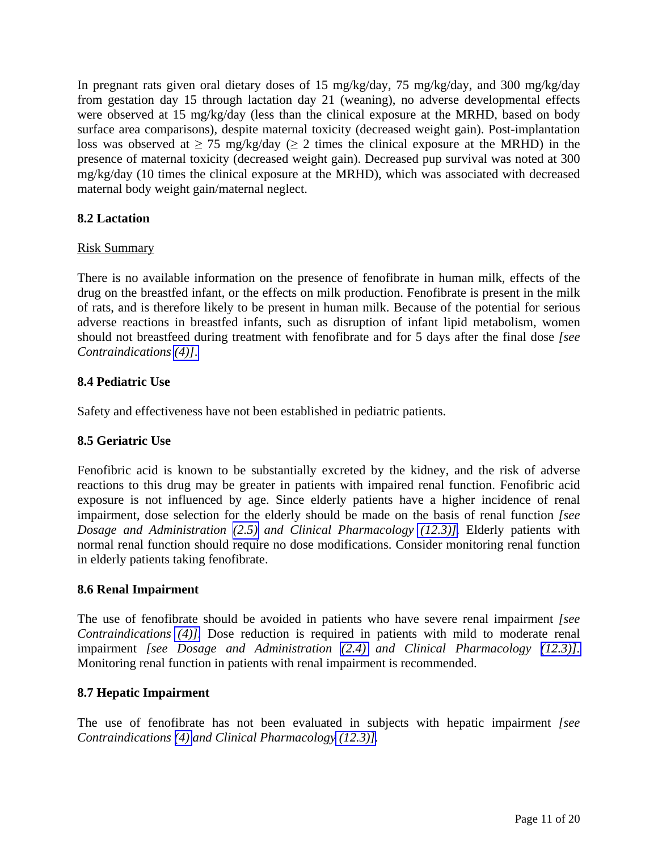<span id="page-10-5"></span><span id="page-10-4"></span><span id="page-10-3"></span><span id="page-10-2"></span><span id="page-10-1"></span><span id="page-10-0"></span>In pregnant rats given oral dietary doses of 15 mg/kg/day, 75 mg/kg/day, and 300 mg/kg/day from gestation day 15 through lactation day 21 (weaning), no adverse developmental effects were observed at 15 mg/kg/day (less than the clinical exposure at the MRHD, based on body surface area comparisons), despite maternal toxicity (decreased weight gain). Post-implantation loss was observed at  $\geq$  75 mg/kg/day ( $\geq$  2 times the clinical exposure at the MRHD) in the presence of maternal toxicity (decreased weight gain). Decreased pup survival was noted at 300 mg/kg/day (10 times the clinical exposure at the MRHD), which was associated with decreased maternal body weight gain/maternal neglect.

## **8.2 Lactation**

## Risk Summary

There is no available information on the presence of fenofibrate in human milk, effects of the drug on the breastfed infant, or the effects on milk production. Fenofibrate is present in the milk of rats, and is therefore likely to be present in human milk. Because of the potential for serious adverse reactions in breastfed infants, such as disruption of infant lipid metabolism, women should not breastfeed during treatment with fenofibrate and for 5 days after the final dose *[see Contraindications [\(4\)\]](#page-2-5)*.

## **8.4 Pediatric Use**

Safety and effectiveness have not been established in pediatric patients.

## **8.5 Geriatric Use**

Fenofibric acid is known to be substantially excreted by the kidney, and the risk of adverse reactions to this drug may be greater in patients with impaired renal function. Fenofibric acid exposure is not influenced by age. Since elderly patients have a higher incidence of renal impairment, dose selection for the elderly should be made on the basis of renal function *[see Dosage and Administration [\(2.5\)](#page-2-5) and Clinical Pharmacology [\(12.3\)\].](#page-12-3)* Elderly patients with normal renal function should require no dose modifications. Consider monitoring renal function in elderly patients taking fenofibrate.

### **8.6 Renal Impairment**

The use of fenofibrate should be avoided in patients who have severe renal impairment *[see Contraindications [\(4\)\].](#page-2-5)* Dose reduction is required in patients with mild to moderate renal impairment *[see Dosage and Administration [\(2.4\)](#page-2-5) and Clinical Pharmacology [\(12.3\)\].](#page-12-3)*  Monitoring renal function in patients with renal impairment is recommended.

### **8.7 Hepatic Impairment**

The use of fenofibrate has not been evaluated in subjects with hepatic impairment *[see Contraindications [\(4\)](#page-2-5) and Clinical Pharmacology [\(12.3\)\].](#page-12-3)*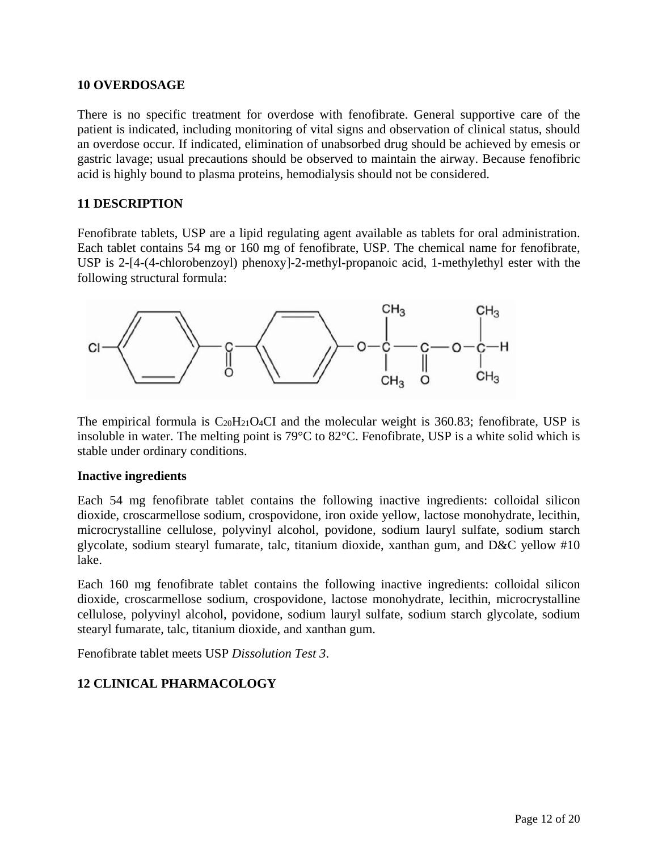### <span id="page-11-0"></span>**10 OVERDOSAGE**

There is no specific treatment for overdose with fenofibrate. General supportive care of the patient is indicated, including monitoring of vital signs and observation of clinical status, should an overdose occur. If indicated, elimination of unabsorbed drug should be achieved by emesis or gastric lavage; usual precautions should be observed to maintain the airway. Because fenofibric acid is highly bound to plasma proteins, hemodialysis should not be considered.

### **11 DESCRIPTION**

Fenofibrate tablets, USP are a lipid regulating agent available as tablets for oral administration. Each tablet contains 54 mg or 160 mg of fenofibrate, USP. The chemical name for fenofibrate, USP is 2-[4-(4-chlorobenzoyl) phenoxy]-2-methyl-propanoic acid, 1-methylethyl ester with the following structural formula:



The empirical formula is  $C_{20}H_{21}O_4CI$  and the molecular weight is 360.83; fenofibrate, USP is insoluble in water. The melting point is 79°C to 82°C. Fenofibrate, USP is a white solid which is stable under ordinary conditions.

#### **Inactive ingredients**

Each 54 mg fenofibrate tablet contains the following inactive ingredients: colloidal silicon dioxide, croscarmellose sodium, crospovidone, iron oxide yellow, lactose monohydrate, lecithin, microcrystalline cellulose, polyvinyl alcohol, povidone, sodium lauryl sulfate, sodium starch glycolate, sodium stearyl fumarate, talc, titanium dioxide, xanthan gum, and D&C yellow #10 lake.

Each 160 mg fenofibrate tablet contains the following inactive ingredients: colloidal silicon dioxide, croscarmellose sodium, crospovidone, lactose monohydrate, lecithin, microcrystalline cellulose, polyvinyl alcohol, povidone, sodium lauryl sulfate, sodium starch glycolate, sodium stearyl fumarate, talc, titanium dioxide, and xanthan gum.

Fenofibrate tablet meets USP *Dissolution Test 3*.

## **12 CLINICAL PHARMACOLOGY**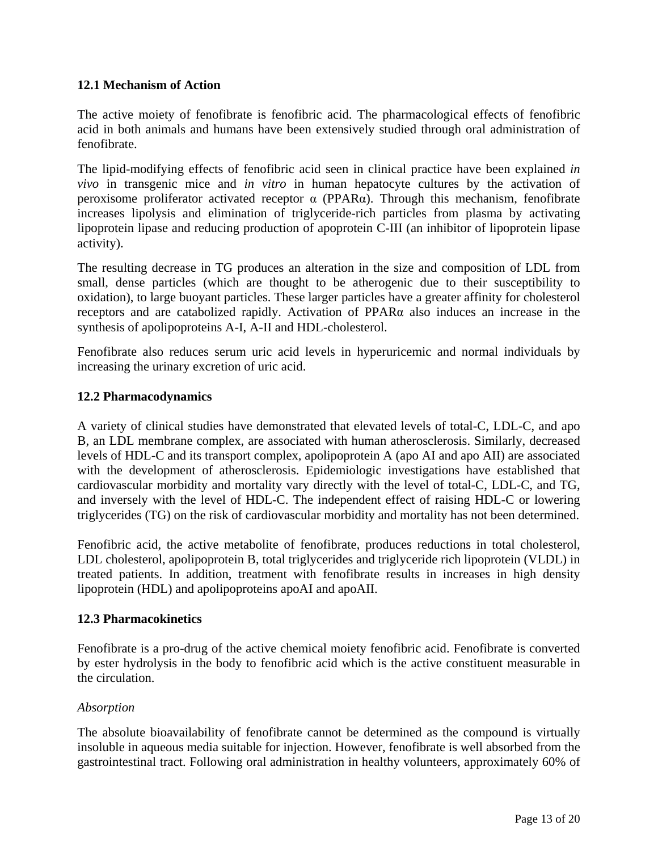## <span id="page-12-3"></span><span id="page-12-2"></span><span id="page-12-1"></span><span id="page-12-0"></span>**12.1 Mechanism of Action**

The active moiety of fenofibrate is fenofibric acid. The pharmacological effects of fenofibric acid in both animals and humans have been extensively studied through oral administration of fenofibrate.

The lipid-modifying effects of fenofibric acid seen in clinical practice have been explained *in vivo* in transgenic mice and *in vitro* in human hepatocyte cultures by the activation of peroxisome proliferator activated receptor α (PPARα). Through this mechanism, fenofibrate increases lipolysis and elimination of triglyceride-rich particles from plasma by activating lipoprotein lipase and reducing production of apoprotein C-III (an inhibitor of lipoprotein lipase activity).

The resulting decrease in TG produces an alteration in the size and composition of LDL from small, dense particles (which are thought to be atherogenic due to their susceptibility to oxidation), to large buoyant particles. These larger particles have a greater affinity for cholesterol receptors and are catabolized rapidly. Activation of PPARα also induces an increase in the synthesis of apolipoproteins A-I, A-II and HDL-cholesterol.

Fenofibrate also reduces serum uric acid levels in hyperuricemic and normal individuals by increasing the urinary excretion of uric acid.

### **12.2 Pharmacodynamics**

A variety of clinical studies have demonstrated that elevated levels of total-C, LDL-C, and apo B, an LDL membrane complex, are associated with human atherosclerosis. Similarly, decreased levels of HDL-C and its transport complex, apolipoprotein A (apo AI and apo AII) are associated with the development of atherosclerosis. Epidemiologic investigations have established that cardiovascular morbidity and mortality vary directly with the level of total-C, LDL-C, and TG, and inversely with the level of HDL-C. The independent effect of raising HDL-C or lowering triglycerides (TG) on the risk of cardiovascular morbidity and mortality has not been determined.

Fenofibric acid, the active metabolite of fenofibrate, produces reductions in total cholesterol, LDL cholesterol, apolipoprotein B, total triglycerides and triglyceride rich lipoprotein (VLDL) in treated patients. In addition, treatment with fenofibrate results in increases in high density lipoprotein (HDL) and apolipoproteins apoAI and apoAII.

### **12.3 Pharmacokinetics**

Fenofibrate is a pro-drug of the active chemical moiety fenofibric acid. Fenofibrate is converted by ester hydrolysis in the body to fenofibric acid which is the active constituent measurable in the circulation.

### *Absorption*

The absolute bioavailability of fenofibrate cannot be determined as the compound is virtually insoluble in aqueous media suitable for injection. However, fenofibrate is well absorbed from the gastrointestinal tract. Following oral administration in healthy volunteers, approximately 60% of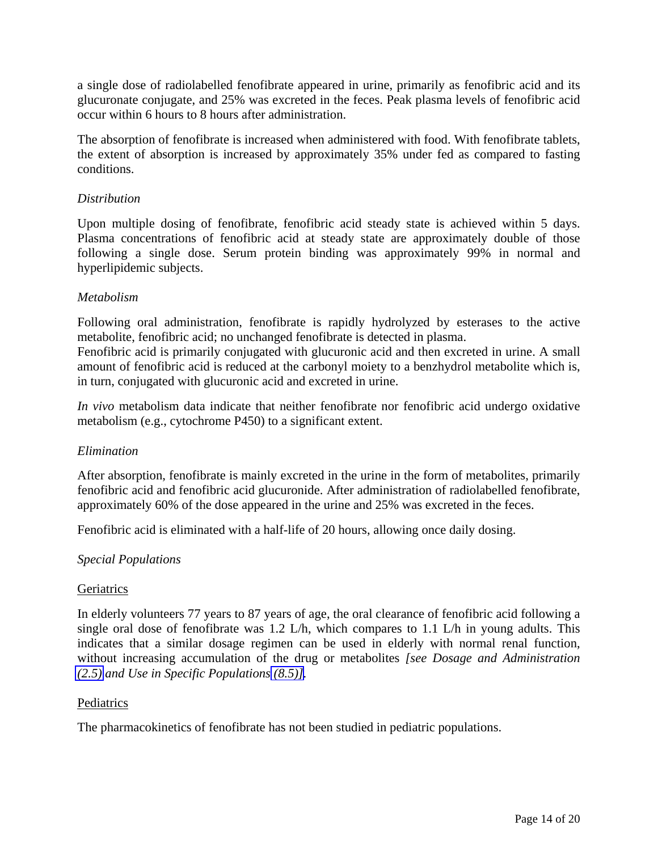a single dose of radiolabelled fenofibrate appeared in urine, primarily as fenofibric acid and its glucuronate conjugate, and 25% was excreted in the feces. Peak plasma levels of fenofibric acid occur within 6 hours to 8 hours after administration.

The absorption of fenofibrate is increased when administered with food. With fenofibrate tablets, the extent of absorption is increased by approximately 35% under fed as compared to fasting conditions.

### *Distribution*

Upon multiple dosing of fenofibrate, fenofibric acid steady state is achieved within 5 days. Plasma concentrations of fenofibric acid at steady state are approximately double of those following a single dose. Serum protein binding was approximately 99% in normal and hyperlipidemic subjects.

## *Metabolism*

Following oral administration, fenofibrate is rapidly hydrolyzed by esterases to the active metabolite, fenofibric acid; no unchanged fenofibrate is detected in plasma.

Fenofibric acid is primarily conjugated with glucuronic acid and then excreted in urine. A small amount of fenofibric acid is reduced at the carbonyl moiety to a benzhydrol metabolite which is, in turn, conjugated with glucuronic acid and excreted in urine.

*In vivo* metabolism data indicate that neither fenofibrate nor fenofibric acid undergo oxidative metabolism (e.g., cytochrome P450) to a significant extent.

### *Elimination*

After absorption, fenofibrate is mainly excreted in the urine in the form of metabolites, primarily fenofibric acid and fenofibric acid glucuronide. After administration of radiolabelled fenofibrate, approximately 60% of the dose appeared in the urine and 25% was excreted in the feces.

Fenofibric acid is eliminated with a half-life of 20 hours, allowing once daily dosing.

### *Special Populations*

### **Geriatrics**

In elderly volunteers 77 years to 87 years of age, the oral clearance of fenofibric acid following a single oral dose of fenofibrate was 1.2 L/h, which compares to 1.1 L/h in young adults. This indicates that a similar dosage regimen can be used in elderly with normal renal function, without increasing accumulation of the drug or metabolites *[see Dosage and Administration [\(2.5\)](#page-2-5) and Use in Specific Populations [\(8.5\)\]](#page-10-5).* 

### **Pediatrics**

The pharmacokinetics of fenofibrate has not been studied in pediatric populations.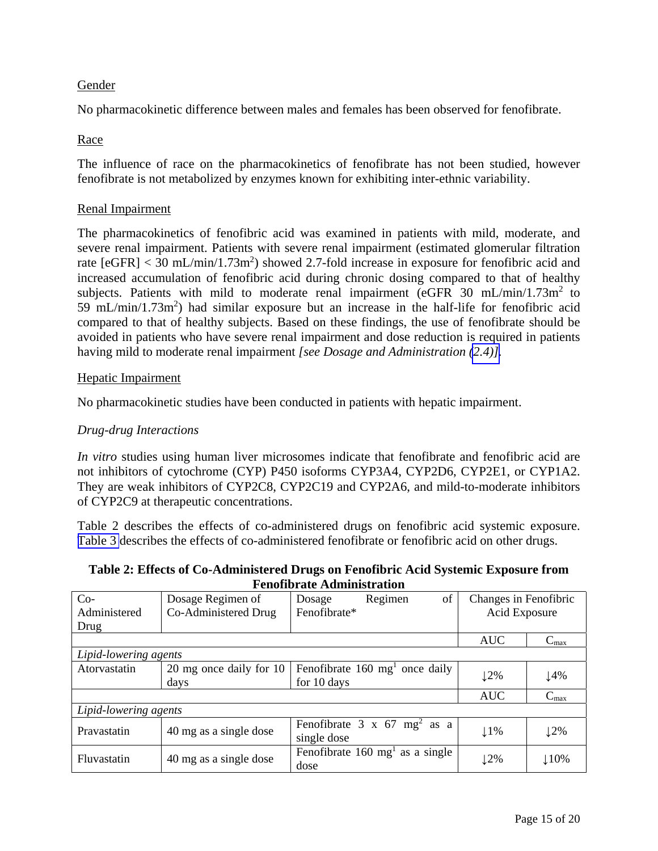## Gender

No pharmacokinetic difference between males and females has been observed for fenofibrate.

## Race

The influence of race on the pharmacokinetics of fenofibrate has not been studied, however fenofibrate is not metabolized by enzymes known for exhibiting inter-ethnic variability.

### Renal Impairment

The pharmacokinetics of fenofibric acid was examined in patients with mild, moderate, and severe renal impairment. Patients with severe renal impairment (estimated glomerular filtration rate  $[eGFR] < 30$  mL/min/1.73m<sup>2</sup>) showed 2.7-fold increase in exposure for fenofibric acid and increased accumulation of fenofibric acid during chronic dosing compared to that of healthy subjects. Patients with mild to moderate renal impairment  $\sqrt{\text{eGFR}}$  30 mL/min/1.73m<sup>2</sup> to 59 mL/min/1.73m<sup>2</sup>) had similar exposure but an increase in the half-life for fenofibric acid compared to that of healthy subjects. Based on these findings, the use of fenofibrate should be avoided in patients who have severe renal impairment and dose reduction is required in patients having mild to moderate renal impairment *[see Dosage and Administration [\(2.4\)\].](#page-2-5)* 

#### Hepatic Impairment

No pharmacokinetic studies have been conducted in patients with hepatic impairment.

#### *Drug-drug Interactions*

*In vitro* studies using human liver microsomes indicate that fenofibrate and fenofibric acid are not inhibitors of cytochrome (CYP) P450 isoforms CYP3A4, CYP2D6, CYP2E1, or CYP1A2. They are weak inhibitors of CYP2C8, CYP2C19 and CYP2A6, and mild-to-moderate inhibitors of CYP2C9 at therapeutic concentrations.

Table 2 describes the effects of co-administered drugs on fenofibric acid systemic exposure. [Table 3](#page-15-2) describes the effects of co-administered fenofibrate or fenofibric acid on other drugs.

#### **Table 2: Effects of Co-Administered Drugs on Fenofibric Acid Systemic Exposure from Fenofibrate Administration**

| $Co-$                 | Dosage Regimen of       | of<br>Regimen<br>Dosage                        | Changes in Fenofibric |                  |  |
|-----------------------|-------------------------|------------------------------------------------|-----------------------|------------------|--|
| Administered          | Co-Administered Drug    | Fenofibrate*                                   | Acid Exposure         |                  |  |
| Drug                  |                         |                                                |                       |                  |  |
|                       |                         |                                                | <b>AUC</b>            | $C_{\text{max}}$ |  |
| Lipid-lowering agents |                         |                                                |                       |                  |  |
| Atorvastatin          | 20 mg once daily for 10 | Fenofibrate $160 \text{ mg}^1$ once daily      | 12%                   | 14%              |  |
|                       |                         |                                                |                       |                  |  |
|                       |                         |                                                | <b>AUC</b>            | $C_{\text{max}}$ |  |
| Lipid-lowering agents |                         |                                                |                       |                  |  |
| Pravastatin           | 40 mg as a single dose  | Fenofibrate $3 \times 67$ mg <sup>2</sup> as a | $1\%$                 | 12%              |  |
|                       |                         | single dose                                    |                       |                  |  |
| Fluvastatin           |                         | Fenofibrate $160 \text{ mg}^1$ as a single     |                       |                  |  |
|                       | 40 mg as a single dose  | dose                                           | 12%                   | 110%             |  |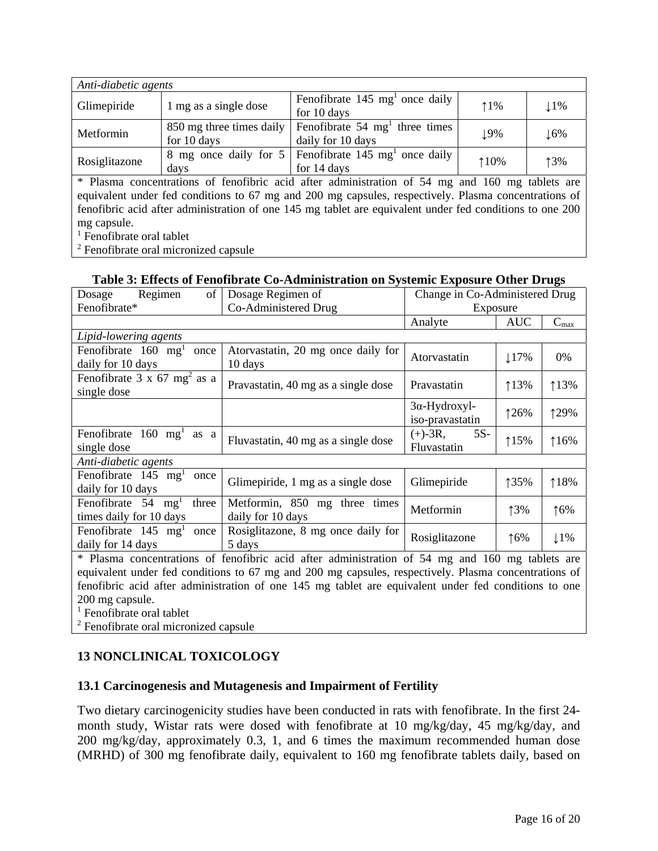<span id="page-15-2"></span><span id="page-15-1"></span><span id="page-15-0"></span>

| Anti-diabetic agents |                          |                                                       |       |                 |  |  |
|----------------------|--------------------------|-------------------------------------------------------|-------|-----------------|--|--|
| Glimepiride          | 1 mg as a single dose    | Fenofibrate $145 \text{ mg}^1$ once daily             | $1\%$ | $11\%$          |  |  |
|                      |                          | for 10 days                                           |       |                 |  |  |
| Metformin            | 850 mg three times daily | Fenoribrate $54 \text{ mg}^1$ three times             |       | $\downarrow$ 6% |  |  |
|                      | for 10 days              | daily for 10 days                                     | 19%   |                 |  |  |
|                      |                          | 8 mg once daily for 5   Fenofibrate 145 mg once daily |       |                 |  |  |
| Rosiglitazone        | days                     | for 14 days                                           | 110%  | 13%             |  |  |

\* Plasma concentrations of fenofibric acid after administration of 54 mg and 160 mg tablets are equivalent under fed conditions to 67 mg and 200 mg capsules, respectively. Plasma concentrations of fenofibric acid after administration of one 145 mg tablet are equivalent under fed conditions to one 200 mg capsule.

<sup>1</sup> Fenofibrate oral tablet

<sup>2</sup> Fenofibrate oral micronized capsule

## **Table 3: Effects of Fenofibrate Co-Administration on Systemic Exposure Other Drugs**

| Regimen<br>of<br>Dosage                                                                                    | Dosage Regimen of                                                                                                                                                                                                                                                              | Change in Co-Administered Drug                                                  |            |               |  |
|------------------------------------------------------------------------------------------------------------|--------------------------------------------------------------------------------------------------------------------------------------------------------------------------------------------------------------------------------------------------------------------------------|---------------------------------------------------------------------------------|------------|---------------|--|
| Fenofibrate*                                                                                               | Co-Administered Drug                                                                                                                                                                                                                                                           | Exposure                                                                        |            |               |  |
|                                                                                                            |                                                                                                                                                                                                                                                                                | Analyte                                                                         | <b>AUC</b> | $C_{max}$     |  |
| Lipid-lowering agents                                                                                      |                                                                                                                                                                                                                                                                                |                                                                                 |            |               |  |
| Fenofibrate $160 \text{ mg}^1$<br>once<br>daily for 10 days                                                | Atorvastatin, 20 mg once daily for<br>10 days                                                                                                                                                                                                                                  | Atorvastatin                                                                    | $17\%$     | 0%            |  |
| Fenofibrate $3 \times 67$ mg <sup>2</sup> as a<br>single dose                                              | Pravastatin, 40 mg as a single dose                                                                                                                                                                                                                                            | Pravastatin                                                                     | 113%       | 113%          |  |
|                                                                                                            |                                                                                                                                                                                                                                                                                | $3\alpha$ -Hydroxyl-<br>iso-pravastatin                                         | 126%       | 129%          |  |
| Fenofibrate<br>$160 \text{ mg}^1$<br>as a<br>single dose                                                   | Fluvastatin, 40 mg as a single dose                                                                                                                                                                                                                                            | $(+)$ -3R,<br>$5S-$<br>Fluvastatin                                              | 115%       | 116%          |  |
| Anti-diabetic agents                                                                                       |                                                                                                                                                                                                                                                                                |                                                                                 |            |               |  |
| Fenofibrate $145 \text{ mg}^1$<br>once<br>daily for 10 days                                                | Glimepiride, 1 mg as a single dose                                                                                                                                                                                                                                             | Glimepiride                                                                     | 135%       | 118%          |  |
| Fenofibrate 54<br>three<br>mg <sup>T</sup><br>times daily for 10 days                                      | Metformin, 850 mg three times<br>daily for 10 days                                                                                                                                                                                                                             | Metformin                                                                       | 13%        | $\uparrow$ 6% |  |
| Fenofibrate 145 mg <sup>1</sup><br>once<br>daily for 14 days<br>$\sim$ $\sim$<br>$\mathbf{a}$ $\mathbf{b}$ | Rosiglitazone, 8 mg once daily for<br>5 days<br>the state of the state of the state of the state of the state of the state of the state of the state of the state of the state of the state of the state of the state of the state of the state of the state of the state of t | Rosiglitazone<br>$\sim$ $\sim$ $\sim$<br>$\mathbf{1}$ $\mathbf{1}$ $\mathbf{2}$ | 16%        | $1\%$         |  |

\* Plasma concentrations of fenofibric acid after administration of 54 mg and 160 mg tablets are equivalent under fed conditions to 67 mg and 200 mg capsules, respectively. Plasma concentrations of fenofibric acid after administration of one 145 mg tablet are equivalent under fed conditions to one 200 mg capsule.

<sup>1</sup> Fenofibrate oral tablet

<sup>2</sup> Fenofibrate oral micronized capsule

# **13 NONCLINICAL TOXICOLOGY**

## **13.1 Carcinogenesis and Mutagenesis and Impairment of Fertility**

Two dietary carcinogenicity studies have been conducted in rats with fenofibrate. In the first 24 month study, Wistar rats were dosed with fenofibrate at 10 mg/kg/day, 45 mg/kg/day, and 200 mg/kg/day, approximately 0.3, 1, and 6 times the maximum recommended human dose (MRHD) of 300 mg fenofibrate daily, equivalent to 160 mg fenofibrate tablets daily, based on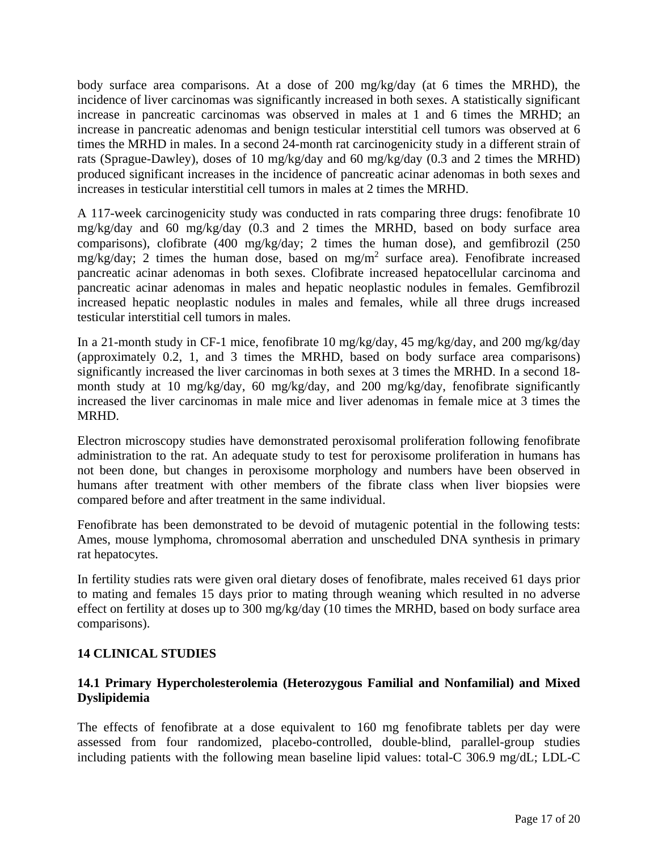<span id="page-16-0"></span>body surface area comparisons. At a dose of 200 mg/kg/day (at 6 times the MRHD), the incidence of liver carcinomas was significantly increased in both sexes. A statistically significant increase in pancreatic carcinomas was observed in males at 1 and 6 times the MRHD; an increase in pancreatic adenomas and benign testicular interstitial cell tumors was observed at 6 times the MRHD in males. In a second 24-month rat carcinogenicity study in a different strain of rats (Sprague-Dawley), doses of 10 mg/kg/day and 60 mg/kg/day (0.3 and 2 times the MRHD) produced significant increases in the incidence of pancreatic acinar adenomas in both sexes and increases in testicular interstitial cell tumors in males at 2 times the MRHD.

A 117-week carcinogenicity study was conducted in rats comparing three drugs: fenofibrate 10 mg/kg/day and 60 mg/kg/day (0.3 and 2 times the MRHD, based on body surface area comparisons), clofibrate (400 mg/kg/day; 2 times the human dose), and gemfibrozil (250 mg/kg/day; 2 times the human dose, based on mg/m<sup>2</sup> surface area). Fenofibrate increased pancreatic acinar adenomas in both sexes. Clofibrate increased hepatocellular carcinoma and pancreatic acinar adenomas in males and hepatic neoplastic nodules in females. Gemfibrozil increased hepatic neoplastic nodules in males and females, while all three drugs increased testicular interstitial cell tumors in males.

In a 21-month study in CF-1 mice, fenofibrate 10 mg/kg/day, 45 mg/kg/day, and 200 mg/kg/day (approximately 0.2, 1, and 3 times the MRHD, based on body surface area comparisons) significantly increased the liver carcinomas in both sexes at 3 times the MRHD. In a second 18 month study at 10 mg/kg/day, 60 mg/kg/day, and 200 mg/kg/day, fenofibrate significantly increased the liver carcinomas in male mice and liver adenomas in female mice at 3 times the MRHD.

Electron microscopy studies have demonstrated peroxisomal proliferation following fenofibrate administration to the rat. An adequate study to test for peroxisome proliferation in humans has not been done, but changes in peroxisome morphology and numbers have been observed in humans after treatment with other members of the fibrate class when liver biopsies were compared before and after treatment in the same individual.

Fenofibrate has been demonstrated to be devoid of mutagenic potential in the following tests: Ames, mouse lymphoma, chromosomal aberration and unscheduled DNA synthesis in primary rat hepatocytes.

In fertility studies rats were given oral dietary doses of fenofibrate, males received 61 days prior to mating and females 15 days prior to mating through weaning which resulted in no adverse effect on fertility at doses up to 300 mg/kg/day (10 times the MRHD, based on body surface area comparisons).

## **14 CLINICAL STUDIES**

## **14.1 Primary Hypercholesterolemia (Heterozygous Familial and Nonfamilial) and Mixed Dyslipidemia**

The effects of fenofibrate at a dose equivalent to 160 mg fenofibrate tablets per day were assessed from four randomized, placebo-controlled, double-blind, parallel-group studies including patients with the following mean baseline lipid values: total-C 306.9 mg/dL; LDL-C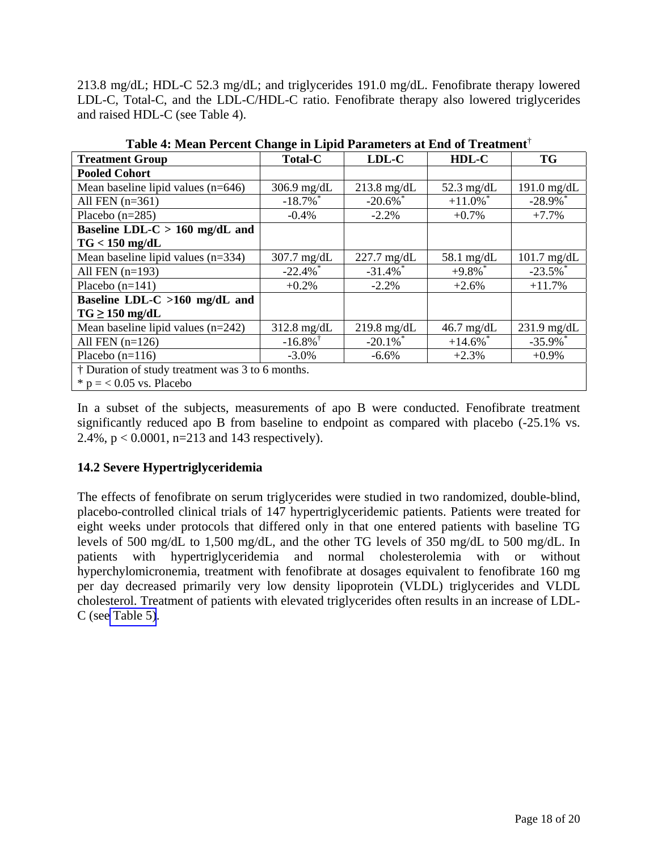213.8 mg/dL; HDL-C 52.3 mg/dL; and triglycerides 191.0 mg/dL. Fenofibrate therapy lowered LDL-C, Total-C, and the LDL-C/HDL-C ratio. Fenofibrate therapy also lowered triglycerides and raised HDL-C (see Table 4).

| <b>Treatment Group</b>                           | 0<br><b>Total-C</b>    | $LDL-C$                | HDL-C                  | <b>TG</b>     |  |  |  |
|--------------------------------------------------|------------------------|------------------------|------------------------|---------------|--|--|--|
| <b>Pooled Cohort</b>                             |                        |                        |                        |               |  |  |  |
| Mean baseline lipid values $(n=646)$             | 306.9 $mg/dL$          | $213.8$ mg/dL          | $52.3$ mg/dL           | 191.0 $mg/dL$ |  |  |  |
| All FEN $(n=361)$                                | $-18.7\%$ <sup>*</sup> | $-20.6\%$              | $+11.0\%$ <sup>*</sup> | $-28.9\%$     |  |  |  |
| Placebo $(n=285)$                                | $-0.4%$                | $-2.2%$                | $+0.7%$                | $+7.7%$       |  |  |  |
| Baseline LDL-C $> 160$ mg/dL and                 |                        |                        |                        |               |  |  |  |
| $TG < 150$ mg/dL                                 |                        |                        |                        |               |  |  |  |
| Mean baseline lipid values $(n=334)$             | 307.7 mg/dL            | $227.7$ mg/dL          | $58.1 \text{ mg/dL}$   | $101.7$ mg/dL |  |  |  |
| All FEN $(n=193)$                                | $-22.4\%$ <sup>*</sup> | $-31.4\%$ <sup>*</sup> | $+9.8\%$ <sup>*</sup>  | $-23.5\%$     |  |  |  |
| Placebo $(n=141)$                                | $+0.2%$                | $-2.2%$                | $+2.6%$                | $+11.7%$      |  |  |  |
| Baseline LDL-C $>160$ mg/dL and                  |                        |                        |                        |               |  |  |  |
| $TG \ge 150$ mg/dL                               |                        |                        |                        |               |  |  |  |
| Mean baseline lipid values $(n=242)$             | $312.8$ mg/dL          | $219.8$ mg/dL          | $46.7$ mg/dL           | $231.9$ mg/dL |  |  |  |
| All FEN $(n=126)$                                | $-16.8\%$ <sup>†</sup> | $-20.1\%$ <sup>*</sup> | $+14.6\%$ <sup>*</sup> | $-35.9\%$     |  |  |  |
| Placebo $(n=116)$                                | $-3.0\%$               | $-6.6%$                | $+2.3%$                | $+0.9%$       |  |  |  |
| † Duration of study treatment was 3 to 6 months. |                        |                        |                        |               |  |  |  |
| $*$ p = < 0.05 vs. Placebo                       |                        |                        |                        |               |  |  |  |

<span id="page-17-0"></span>**Table 4: Mean Percent Change in Lipid Parameters at End of Treatment**†

In a subset of the subjects, measurements of apo B were conducted. Fenofibrate treatment significantly reduced apo B from baseline to endpoint as compared with placebo (-25.1% vs. 2.4%,  $p < 0.0001$ , n=213 and 143 respectively).

## **14.2 Severe Hypertriglyceridemia**

The effects of fenofibrate on serum triglycerides were studied in two randomized, double-blind, placebo-controlled clinical trials of 147 hypertriglyceridemic patients. Patients were treated for eight weeks under protocols that differed only in that one entered patients with baseline TG levels of 500 mg/dL to 1,500 mg/dL, and the other TG levels of 350 mg/dL to 500 mg/dL. In patients with hypertriglyceridemia and normal cholesterolemia with or without hyperchylomicronemia, treatment with fenofibrate at dosages equivalent to fenofibrate 160 mg per day decreased primarily very low density lipoprotein (VLDL) triglycerides and VLDL cholesterol. Treatment of patients with elevated triglycerides often results in an increase of LDL-C (se[e Table 5\)](#page-18-0).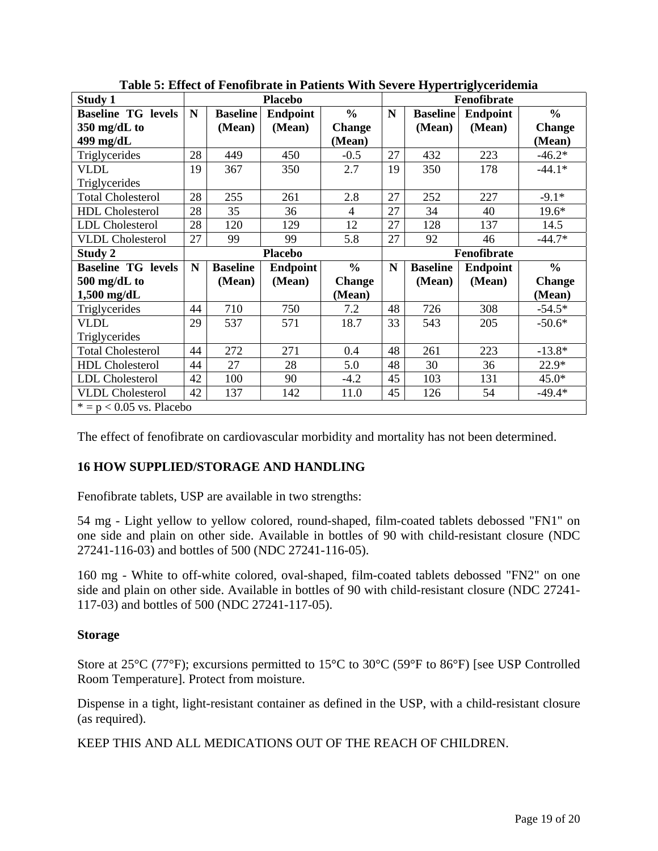<span id="page-18-0"></span>

| <b>Study 1</b>             | <b>Placebo</b> |                 |                 |               | Fenofibrate |                 |                 |               |
|----------------------------|----------------|-----------------|-----------------|---------------|-------------|-----------------|-----------------|---------------|
| <b>Baseline TG levels</b>  | N              | <b>Baseline</b> | <b>Endpoint</b> | $\frac{0}{0}$ | N           | <b>Baseline</b> | <b>Endpoint</b> | $\frac{0}{0}$ |
| 350 mg/dL to               |                | (Mean)          | (Mean)          | <b>Change</b> |             | (Mean)          | (Mean)          | <b>Change</b> |
| 499 mg/dL                  |                |                 |                 | (Mean)        |             |                 |                 | (Mean)        |
| Triglycerides              | 28             | 449             | 450             | $-0.5$        | 27          | 432             | 223             | $-46.2*$      |
| <b>VLDL</b>                | 19             | 367             | 350             | 2.7           | 19          | 350             | 178             | $-44.1*$      |
| Triglycerides              |                |                 |                 |               |             |                 |                 |               |
| <b>Total Cholesterol</b>   | 28             | 255             | 261             | 2.8           | 27          | 252             | 227             | $-9.1*$       |
| <b>HDL</b> Cholesterol     | 28             | 35              | 36              | 4             | 27          | 34              | 40              | $19.6*$       |
| <b>LDL</b> Cholesterol     | 28             | 120             | 129             | 12            | 27          | 128             | 137             | 14.5          |
| <b>VLDL</b> Cholesterol    | 27             | 99              | 99              | 5.8           | 27          | 92              | 46              | $-44.7*$      |
| Study 2                    |                |                 | <b>Placebo</b>  |               | Fenofibrate |                 |                 |               |
| <b>Baseline TG levels</b>  | N              | <b>Baseline</b> | <b>Endpoint</b> | $\frac{6}{6}$ | N           | <b>Baseline</b> | <b>Endpoint</b> | $\frac{0}{0}$ |
| 500 mg/dL to               |                | (Mean)          | (Mean)          | <b>Change</b> |             | (Mean)          | (Mean)          | <b>Change</b> |
| $1,500$ mg/dL              |                |                 |                 | (Mean)        |             |                 |                 | (Mean)        |
| Triglycerides              | 44             | 710             | 750             | 7.2           | 48          | 726             | 308             | $-54.5*$      |
| <b>VLDL</b>                | 29             | 537             | 571             | 18.7          | 33          | 543             | 205             | $-50.6*$      |
| Triglycerides              |                |                 |                 |               |             |                 |                 |               |
| <b>Total Cholesterol</b>   | 44             | 272             | 271             | 0.4           | 48          | 261             | 223             | $-13.8*$      |
| <b>HDL</b> Cholesterol     | 44             | 27              | 28              | 5.0           | 48          | 30              | 36              | $22.9*$       |
| <b>LDL</b> Cholesterol     | 42             | 100             | 90              | $-4.2$        | 45          | 103             | 131             | $45.0*$       |
| <b>VLDL</b> Cholesterol    | 42             | 137             | 142             | 11.0          | 45          | 126             | 54              | $-49.4*$      |
| $* = p < 0.05$ vs. Placebo |                |                 |                 |               |             |                 |                 |               |

**Table 5: Effect of Fenofibrate in Patients With Severe Hypertriglyceridemia**

The effect of fenofibrate on cardiovascular morbidity and mortality has not been determined.

# **16 HOW SUPPLIED/STORAGE AND HANDLING**

Fenofibrate tablets, USP are available in two strengths:

54 mg - Light yellow to yellow colored, round-shaped, film-coated tablets debossed "FN1" on one side and plain on other side. Available in bottles of 90 with child-resistant closure (NDC 27241-116-03) and bottles of 500 (NDC 27241-116-05).

160 mg - White to off-white colored, oval-shaped, film-coated tablets debossed "FN2" on one side and plain on other side. Available in bottles of 90 with child-resistant closure (NDC 27241- 117-03) and bottles of 500 (NDC 27241-117-05).

## **Storage**

Store at 25°C (77°F); excursions permitted to 15°C to 30°C (59°F to 86°F) [see USP Controlled Room Temperature]. Protect from moisture.

Dispense in a tight, light-resistant container as defined in the USP, with a child-resistant closure (as required).

KEEP THIS AND ALL MEDICATIONS OUT OF THE REACH OF CHILDREN.